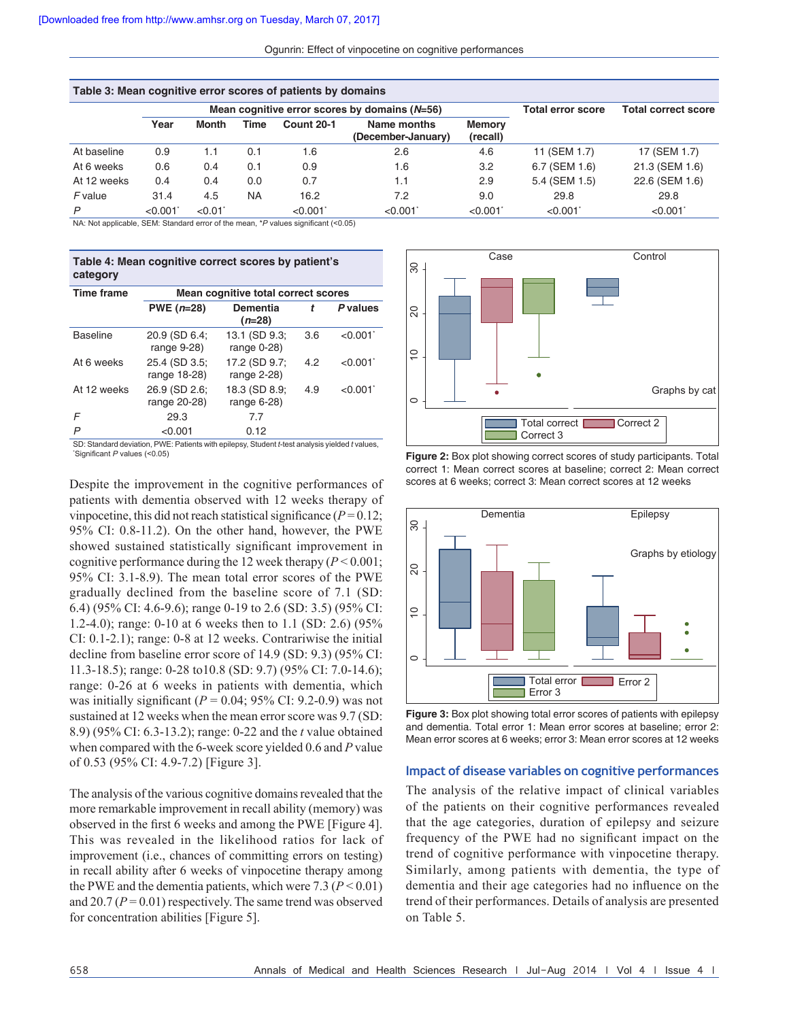| Table 3: Mean cognitive error scores of patients by domains |         |              |           |                                                 |                                   |                            |               |                |  |  |
|-------------------------------------------------------------|---------|--------------|-----------|-------------------------------------------------|-----------------------------------|----------------------------|---------------|----------------|--|--|
|                                                             |         |              |           | Mean cognitive error scores by domains $(N=56)$ | <b>Total error score</b>          | <b>Total correct score</b> |               |                |  |  |
|                                                             | Year    | <b>Month</b> | Time      | <b>Count 20-1</b>                               | Name months<br>(December-January) | Memory<br>(recall)         |               |                |  |  |
| At baseline                                                 | 0.9     | 1.1          | 0.1       | 1.6                                             | 2.6                               | 4.6                        | 11 (SEM 1.7)  | 17 (SEM 1.7)   |  |  |
| At 6 weeks                                                  | 0.6     | 0.4          | 0.1       | 0.9                                             | 1.6                               | 3.2                        | 6.7 (SEM 1.6) | 21.3 (SEM 1.6) |  |  |
| At 12 weeks                                                 | 0.4     | 0.4          | 0.0       | 0.7                                             | 1.1                               | 2.9                        | 5.4 (SEM 1.5) | 22.6 (SEM 1.6) |  |  |
| F value                                                     | 31.4    | 4.5          | <b>NA</b> | 16.2                                            | 7.2                               | 9.0                        | 29.8          | 29.8           |  |  |
| P                                                           | < 0.001 | < 0.01       |           | < 0.001                                         | < 0.001                           | < 0.001                    | < 0.001       | < 0.001        |  |  |

NA: Not applicable, SEM: Standard error of the mean, \**P* values significant (<0.05)

| Table 4: Mean cognitive correct scores by patient's<br>category |                                     |                                                                                             |     |          |  |  |  |  |
|-----------------------------------------------------------------|-------------------------------------|---------------------------------------------------------------------------------------------|-----|----------|--|--|--|--|
| <b>Time frame</b>                                               | Mean cognitive total correct scores |                                                                                             |     |          |  |  |  |  |
|                                                                 | PWE $(n=28)$                        | <b>Dementia</b><br>$(n=28)$                                                                 | t   | P values |  |  |  |  |
| <b>Baseline</b>                                                 | 20.9 (SD 6.4;<br>range 9-28)        | 13.1 (SD 9.3;<br>range $0-28$ )                                                             | 3.6 | < 0.001  |  |  |  |  |
| At 6 weeks                                                      | 25.4 (SD 3.5;<br>range 18-28)       | 17.2 (SD 9.7;<br>range $2-28$ )                                                             | 4.2 | < 0.001  |  |  |  |  |
| At 12 weeks                                                     | 26.9 (SD 2.6;<br>range 20-28)       | 18.3 (SD 8.9;<br>range $6-28$ )                                                             | 4.9 | < 0.001  |  |  |  |  |
| F                                                               | 29.3                                | 7.7                                                                                         |     |          |  |  |  |  |
| P                                                               | < 0.001                             | 0.12                                                                                        |     |          |  |  |  |  |
|                                                                 |                                     | CD: Chanderd deviation, DWE: Detiants with enjlance Chudant Light analysis violded fugless. |     |          |  |  |  |  |

 $WE:$  Patients with epilepsy, Student *t*-test analysis yielded *t* values Significant *P* values (<0.05)

Despite the improvement in the cognitive performances of patients with dementia observed with 12 weeks therapy of vinpocetine, this did not reach statistical significance ( $P = 0.12$ ; 95% CI: 0.8-11.2). On the other hand, however, the PWE showed sustained statistically significant improvement in cognitive performance during the 12 week therapy (*P* < 0.001; 95% CI: 3.1-8.9). The mean total error scores of the PWE gradually declined from the baseline score of 7.1 (SD: 6.4) (95% CI: 4.6-9.6); range 0-19 to 2.6 (SD: 3.5) (95% CI: 1.2-4.0); range: 0-10 at 6 weeks then to 1.1 (SD: 2.6) (95% CI: 0.1-2.1); range: 0-8 at 12 weeks. Contrariwise the initial decline from baseline error score of 14.9 (SD: 9.3) (95% CI: 11.3-18.5); range: 0-28 to10.8 (SD: 9.7) (95% CI: 7.0-14.6); range: 0-26 at 6 weeks in patients with dementia, which was initially significant ( $P = 0.04$ ; 95% CI: 9.2-0.9) was not sustained at 12 weeks when the mean error score was  $9.7$  (SD: 8.9) (95% CI: 6.3-13.2); range: 0-22 and the *t* value obtained when compared with the 6-week score yielded 0.6 and *P* value of 0.53 (95% CI: 4.9-7.2) [Figure 3].

The analysis of the various cognitive domains revealed that the more remarkable improvement in recall ability (memory) was observed in the first 6 weeks and among the PWE [Figure 4]. This was revealed in the likelihood ratios for lack of improvement (i.e., chances of committing errors on testing) in recall ability after 6 weeks of vinpocetine therapy among the PWE and the dementia patients, which were  $7.3 (P < 0.01)$ and 20.7 ( $P = 0.01$ ) respectively. The same trend was observed for concentration abilities [Figure 5].



**Figure 2:** Box plot showing correct scores of study participants. Total correct 1: Mean correct scores at baseline; correct 2: Mean correct scores at 6 weeks; correct 3: Mean correct scores at 12 weeks



**Figure 3:** Box plot showing total error scores of patients with epilepsy and dementia. Total error 1: Mean error scores at baseline; error 2: Mean error scores at 6 weeks; error 3: Mean error scores at 12 weeks

#### **Impact of disease variables on cognitive performances**

The analysis of the relative impact of clinical variables of the patients on their cognitive performances revealed that the age categories, duration of epilepsy and seizure frequency of the PWE had no significant impact on the trend of cognitive performance with vinpocetine therapy. Similarly, among patients with dementia, the type of dementia and their age categories had no influence on the trend of their performances. Details of analysis are presented on Table 5.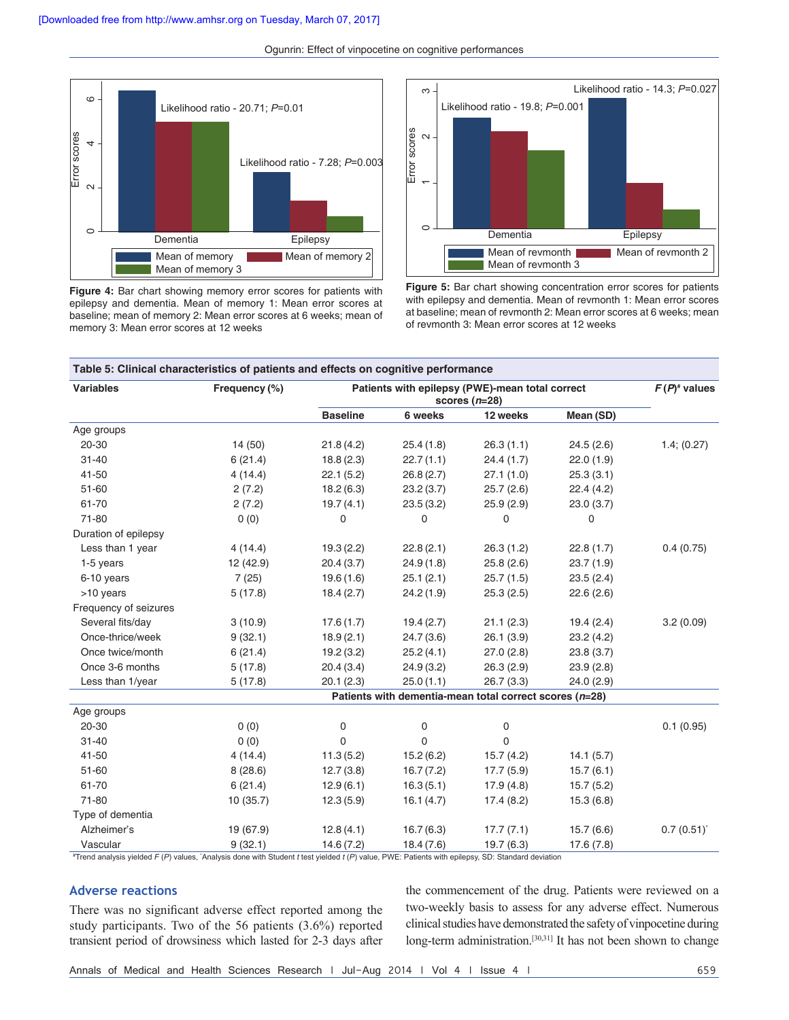

**Figure 4:** Bar chart showing memory error scores for patients with epilepsy and dementia. Mean of memory 1: Mean error scores at baseline; mean of memory 2: Mean error scores at 6 weeks; mean of memory 3: Mean error scores at 12 weeks



**Figure 5:** Bar chart showing concentration error scores for patients with epilepsy and dementia. Mean of revmonth 1: Mean error scores at baseline; mean of revmonth 2: Mean error scores at 6 weeks; mean of revmonth 3: Mean error scores at 12 weeks

| <b>Variables</b>      | Frequency (%)                                           | Patients with epilepsy (PWE)-mean total correct | $F(P)^*$ values |            |            |             |  |  |  |
|-----------------------|---------------------------------------------------------|-------------------------------------------------|-----------------|------------|------------|-------------|--|--|--|
|                       |                                                         | <b>Baseline</b>                                 | 6 weeks         | 12 weeks   | Mean (SD)  |             |  |  |  |
| Age groups            |                                                         |                                                 |                 |            |            |             |  |  |  |
| 20-30                 | 14 (50)                                                 | 21.8(4.2)                                       | 25.4(1.8)       | 26.3(1.1)  | 24.5(2.6)  | 1.4; (0.27) |  |  |  |
| $31 - 40$             | 6(21.4)                                                 | 18.8(2.3)                                       | 22.7(1.1)       | 24.4(1.7)  | 22.0(1.9)  |             |  |  |  |
| 41-50                 | 4(14.4)                                                 | 22.1(5.2)                                       | 26.8(2.7)       | 27.1(1.0)  | 25.3(3.1)  |             |  |  |  |
| $51 - 60$             | 2(7.2)                                                  | 18.2(6.3)                                       | 23.2(3.7)       | 25.7(2.6)  | 22.4(4.2)  |             |  |  |  |
| 61-70                 | 2(7.2)                                                  | 19.7(4.1)                                       | 23.5(3.2)       | 25.9(2.9)  | 23.0 (3.7) |             |  |  |  |
| 71-80                 | 0(0)                                                    | $\mathbf 0$                                     | $\Omega$        | 0          | 0          |             |  |  |  |
| Duration of epilepsy  |                                                         |                                                 |                 |            |            |             |  |  |  |
| Less than 1 year      | 4(14.4)                                                 | 19.3(2.2)                                       | 22.8(2.1)       | 26.3(1.2)  | 22.8(1.7)  | 0.4(0.75)   |  |  |  |
| 1-5 years             | 12 (42.9)                                               | 20.4(3.7)                                       | 24.9(1.8)       | 25.8(2.6)  | 23.7(1.9)  |             |  |  |  |
| 6-10 years            | 7(25)                                                   | 19.6(1.6)                                       | 25.1(2.1)       | 25.7(1.5)  | 23.5(2.4)  |             |  |  |  |
| >10 years             | 5(17.8)                                                 | 18.4(2.7)                                       | 24.2 (1.9)      | 25.3(2.5)  | 22.6(2.6)  |             |  |  |  |
| Frequency of seizures |                                                         |                                                 |                 |            |            |             |  |  |  |
| Several fits/day      | 3(10.9)                                                 | 17.6(1.7)                                       | 19.4(2.7)       | 21.1(2.3)  | 19.4(2.4)  | 3.2(0.09)   |  |  |  |
| Once-thrice/week      | 9(32.1)                                                 | 18.9(2.1)                                       | 24.7(3.6)       | 26.1(3.9)  | 23.2 (4.2) |             |  |  |  |
| Once twice/month      | 6(21.4)                                                 | 19.2(3.2)                                       | 25.2(4.1)       | 27.0(2.8)  | 23.8(3.7)  |             |  |  |  |
| Once 3-6 months       | 5(17.8)                                                 | 20.4(3.4)                                       | 24.9(3.2)       | 26.3(2.9)  | 23.9(2.8)  |             |  |  |  |
| Less than 1/year      | 5(17.8)                                                 | 20.1(2.3)                                       | 25.0(1.1)       | 26.7(3.3)  | 24.0 (2.9) |             |  |  |  |
|                       | Patients with dementia-mean total correct scores (n=28) |                                                 |                 |            |            |             |  |  |  |
| Age groups            |                                                         |                                                 |                 |            |            |             |  |  |  |
| 20-30                 | 0(0)                                                    | 0                                               | 0               | 0          |            | 0.1(0.95)   |  |  |  |
| $31 - 40$             | 0(0)                                                    | $\mathbf 0$                                     | $\Omega$        | 0          |            |             |  |  |  |
| 41-50                 | 4 (14.4)                                                | 11.3(5.2)                                       | 15.2(6.2)       | 15.7(4.2)  | 14.1(5.7)  |             |  |  |  |
| 51-60                 | 8(28.6)                                                 | 12.7(3.8)                                       | 16.7(7.2)       | 17.7(5.9)  | 15.7(6.1)  |             |  |  |  |
| 61-70                 | 6(21.4)                                                 | 12.9(6.1)                                       | 16.3(5.1)       | 17.9(4.8)  | 15.7(5.2)  |             |  |  |  |
| 71-80                 | 10 (35.7)                                               | 12.3(5.9)                                       | 16.1(4.7)       | 17.4(8.2)  | 15.3(6.8)  |             |  |  |  |
| Type of dementia      |                                                         |                                                 |                 |            |            |             |  |  |  |
| Alzheimer's           | 19 (67.9)                                               | 12.8(4.1)                                       | 16.7(6.3)       | 17.7(7.1)  | 15.7(6.6)  | 0.7(0.51)   |  |  |  |
| Vascular              | 9(32.1)                                                 | 14.6(7.2)                                       | 18.4(7.6)       | 19.7 (6.3) | 17.6(7.8)  |             |  |  |  |

#Trend analysis yielded *F (P*) values, `Analysis done with Student *t* test yielded *t (P*) value, PWE: Patients with epilepsy, SD: Standard deviation

### **Adverse reactions**

There was no significant adverse effect reported among the study participants. Two of the 56 patients (3.6%) reported transient period of drowsiness which lasted for 2-3 days after the commencement of the drug. Patients were reviewed on a two-weekly basis to assess for any adverse effect. Numerous clinical studies have demonstrated the safety of vinpocetine during long-term administration.<sup>[30,31]</sup> It has not been shown to change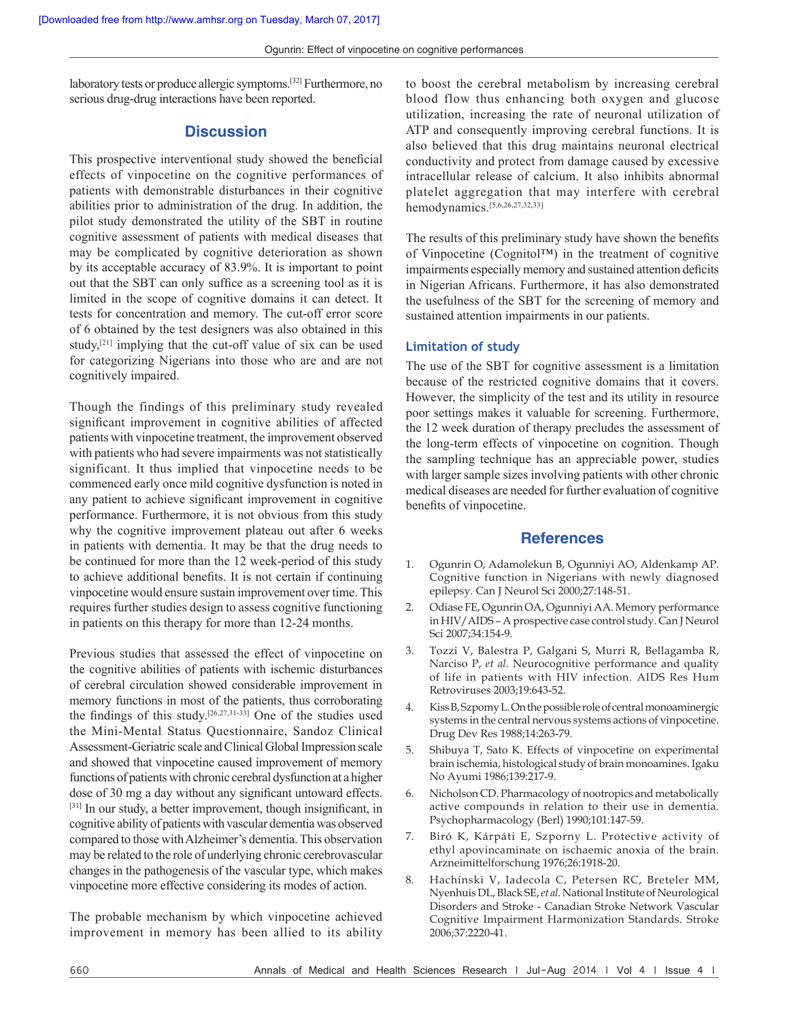laboratory tests or produce allergic symptoms.[32] Furthermore, no serious drug-drug interactions have been reported.

# **Discussion**

This prospective interventional study showed the beneficial effects of vinpocetine on the cognitive performances of patients with demonstrable disturbances in their cognitive abilities prior to administration of the drug. In addition, the pilot study demonstrated the utility of the SBT in routine cognitive assessment of patients with medical diseases that may be complicated by cognitive deterioration as shown by its acceptable accuracy of 83.9%. It is important to point out that the SBT can only suffice as a screening tool as it is limited in the scope of cognitive domains it can detect. It tests for concentration and memory. The cut-off error score of 6 obtained by the test designers was also obtained in this study, $[21]$  implying that the cut-off value of six can be used for categorizing Nigerians into those who are and are not cognitively impaired.

Though the findings of this preliminary study revealed significant improvement in cognitive abilities of affected patients with vinpocetine treatment, the improvement observed with patients who had severe impairments was not statistically significant. It thus implied that vinpocetine needs to be commenced early once mild cognitive dysfunction is noted in any patient to achieve significant improvement in cognitive performance. Furthermore, it is not obvious from this study why the cognitive improvement plateau out after 6 weeks in patients with dementia. It may be that the drug needs to be continued for more than the 12 week-period of this study to achieve additional benefits. It is not certain if continuing vinpocetine would ensure sustain improvement over time. This requires further studies design to assess cognitive functioning in patients on this therapy for more than 12-24 months.

Previous studies that assessed the effect of vinpocetine on the cognitive abilities of patients with ischemic disturbances of cerebral circulation showed considerable improvement in memory functions in most of the patients, thus corroborating the findings of this study.[26,27,31-33] One of the studies used the Mini-Mental Status Questionnaire, Sandoz Clinical Assessment-Geriatric scale and Clinical Global Impression scale and showed that vinpocetine caused improvement of memory functions of patients with chronic cerebral dysfunction at a higher dose of 30 mg a day without any significant untoward effects. [31] In our study, a better improvement, though insignificant, in cognitive ability of patients with vascular dementia was observed compared to those with Alzheimer's dementia. This observation may be related to the role of underlying chronic cerebrovascular changes in the pathogenesis of the vascular type, which makes vinpocetine more effective considering its modes of action.

The probable mechanism by which vinpocetine achieved improvement in memory has been allied to its ability to boost the cerebral metabolism by increasing cerebral blood flow thus enhancing both oxygen and glucose utilization, increasing the rate of neuronal utilization of ATP and consequently improving cerebral functions. It is also believed that this drug maintains neuronal electrical conductivity and protect from damage caused by excessive intracellular release of calcium. It also inhibits abnormal platelet aggregation that may interfere with cerebral hemodynamics.[5,6,26,27,32,33]

The results of this preliminary study have shown the benefits of Vinpocetine (Cognitol™) in the treatment of cognitive impairments especially memory and sustained attention deficits in Nigerian Africans. Furthermore, it has also demonstrated the usefulness of the SBT for the screening of memory and sustained attention impairments in our patients.

# **Limitation of study**

The use of the SBT for cognitive assessment is a limitation because of the restricted cognitive domains that it covers. However, the simplicity of the test and its utility in resource poor settings makes it valuable for screening. Furthermore, the 12 week duration of therapy precludes the assessment of the long-term effects of vinpocetine on cognition. Though the sampling technique has an appreciable power, studies with larger sample sizes involving patients with other chronic medical diseases are needed for further evaluation of cognitive benefits of vinpocetine.

#### **References**

- 1. Ogunrin O, Adamolekun B, Ogunniyi AO, Aldenkamp AP. Cognitive function in Nigerians with newly diagnosed epilepsy. Can J Neurol Sci 2000;27:148‑51.
- 2. Odiase FE, Ogunrin OA, Ogunniyi AA. Memory performance in HIV/AIDS – A prospective case control study. Can J Neurol Sci 2007;34:154‑9.
- 3. Tozzi V, Balestra P, Galgani S, Murri R, Bellagamba R, Narciso P, *et al*. Neurocognitive performance and quality of life in patients with HIV infection. AIDS Res Hum Retroviruses 2003;19:643‑52.
- 4. KissB, SzpomyL. On the possible role of central monoaminergic systems in the central nervous systems actions of vinpocetine. Drug Dev Res 1988;14:263‑79.
- 5. Shibuya T, Sato K. Effects of vinpocetine on experimental brain ischemia, histological study of brain monoamines. Igaku No Ayumi 1986;139:217‑9.
- 6. Nicholson CD. Pharmacology of nootropics and metabolically active compounds in relation to their use in dementia. Psychopharmacology (Berl) 1990;101:147‑59.
- 7. Biró K, Kárpáti E, Szporny L. Protective activity of ethyl apovincaminate on ischaemic anoxia of the brain. Arzneimittelforschung 1976;26:1918‑20.
- 8. Hachinski V, Iadecola C, Petersen RC, Breteler MM, Nyenhuis DL, Black SE, *et al*. National Institute of Neurological Disorders and Stroke - Canadian Stroke Network Vascular Cognitive Impairment Harmonization Standards. Stroke 2006;37:2220-41.